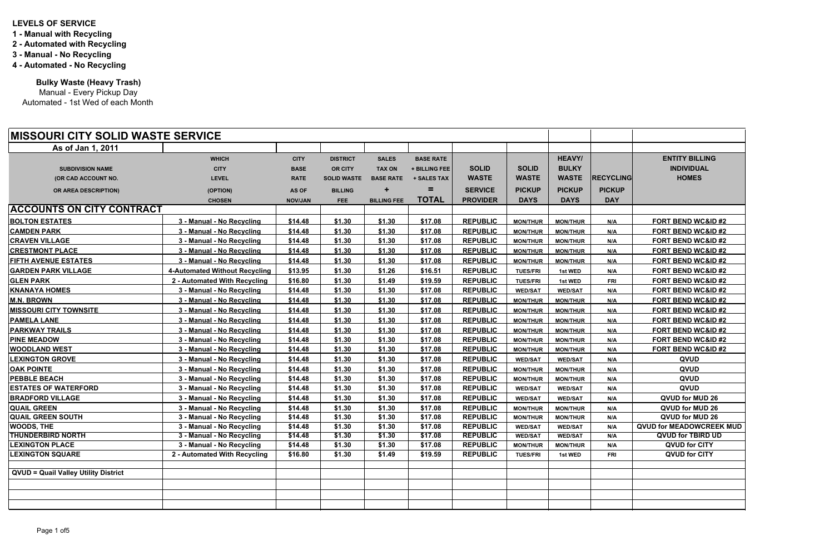| <b>IMISSOURI CITY SOLID WASTE SERVICE</b>   |                                      |                |                    |                    |                  |                 |                 |                 |                  |                                 |
|---------------------------------------------|--------------------------------------|----------------|--------------------|--------------------|------------------|-----------------|-----------------|-----------------|------------------|---------------------------------|
| As of Jan 1, 2011                           |                                      |                |                    |                    |                  |                 |                 |                 |                  |                                 |
|                                             | <b>WHICH</b>                         | <b>CITY</b>    | <b>DISTRICT</b>    | <b>SALES</b>       | <b>BASE RATE</b> |                 |                 | <b>HEAVY/</b>   |                  | <b>ENTITY BILLING</b>           |
| <b>SUBDIVISION NAME</b>                     | <b>CITY</b>                          | <b>BASE</b>    | <b>OR CITY</b>     | <b>TAX ON</b>      | + BILLING FEE    | <b>SOLID</b>    | <b>SOLID</b>    | <b>BULKY</b>    |                  | <b>INDIVIDUAL</b>               |
| (OR CAD ACCOUNT NO.                         | <b>LEVEL</b>                         | <b>RATE</b>    | <b>SOLID WASTE</b> | <b>BASE RATE</b>   | + SALES TAX      | <b>WASTE</b>    | <b>WASTE</b>    | <b>WASTE</b>    | <b>RECYCLING</b> | <b>HOMES</b>                    |
| OR AREA DESCRIPTION)                        | (OPTION)                             | <b>AS OF</b>   | <b>BILLING</b>     | ÷                  | =                | <b>SERVICE</b>  | <b>PICKUP</b>   | <b>PICKUP</b>   | <b>PICKUP</b>    |                                 |
|                                             | <b>CHOSEN</b>                        | <b>NOV/JAN</b> | <b>FEE</b>         | <b>BILLING FEE</b> | <b>TOTAL</b>     | <b>PROVIDER</b> | <b>DAYS</b>     | <b>DAYS</b>     | <b>DAY</b>       |                                 |
| <b>ACCOUNTS ON CITY CONTRACT</b>            |                                      |                |                    |                    |                  |                 |                 |                 |                  |                                 |
| <b>BOLTON ESTATES</b>                       | 3 - Manual - No Recycling            | \$14.48        | \$1.30             | \$1.30             | \$17.08          | <b>REPUBLIC</b> | <b>MON/THUR</b> | <b>MON/THUR</b> | N/A              | <b>FORT BEND WC&amp;ID #2</b>   |
| <b>CAMDEN PARK</b>                          | 3 - Manual - No Recycling            | \$14.48        | \$1.30             | \$1.30             | \$17.08          | <b>REPUBLIC</b> | <b>MON/THUR</b> | <b>MON/THUR</b> | N/A              | <b>FORT BEND WC&amp;ID #2</b>   |
| <b>CRAVEN VILLAGE</b>                       | 3 - Manual - No Recycling            | \$14.48        | \$1.30             | \$1.30             | \$17.08          | <b>REPUBLIC</b> | <b>MON/THUR</b> | <b>MON/THUR</b> | N/A              | <b>FORT BEND WC&amp;ID#2</b>    |
| <b>CRESTMONT PLACE</b>                      | 3 - Manual - No Recycling            | \$14.48        | \$1.30             | \$1.30             | \$17.08          | <b>REPUBLIC</b> | <b>MON/THUR</b> | <b>MON/THUR</b> | N/A              | <b>FORT BEND WC&amp;ID #2</b>   |
| <b>FIFTH AVENUE ESTATES</b>                 | 3 - Manual - No Recycling            | \$14.48        | \$1.30             | \$1.30             | \$17.08          | <b>REPUBLIC</b> | <b>MON/THUR</b> | <b>MON/THUR</b> | N/A              | FORT BEND WC&ID #2              |
| <b>GARDEN PARK VILLAGE</b>                  | <b>4-Automated Without Recycling</b> | \$13.95        | \$1.30             | \$1.26             | \$16.51          | <b>REPUBLIC</b> | <b>TUES/FRI</b> | 1st WED         | N/A              | FORT BEND WC&ID #2              |
| <b>GLEN PARK</b>                            | 2 - Automated With Recycling         | \$16.80        | \$1.30             | \$1.49             | \$19.59          | <b>REPUBLIC</b> | <b>TUES/FRI</b> | 1st WED         | <b>FRI</b>       | <b>FORT BEND WC&amp;ID #2</b>   |
| <b>KNANAYA HOMES</b>                        | 3 - Manual - No Recycling            | \$14.48        | \$1.30             | \$1.30             | \$17.08          | <b>REPUBLIC</b> | <b>WED/SAT</b>  | <b>WED/SAT</b>  | N/A              | <b>FORT BEND WC&amp;ID #2</b>   |
| <b>M.N. BROWN</b>                           | 3 - Manual - No Recycling            | \$14.48        | \$1.30             | \$1.30             | \$17.08          | <b>REPUBLIC</b> | <b>MON/THUR</b> | <b>MON/THUR</b> | N/A              | <b>FORT BEND WC&amp;ID #2</b>   |
| <b>MISSOURI CITY TOWNSITE</b>               | 3 - Manual - No Recycling            | \$14.48        | \$1.30             | \$1.30             | \$17.08          | <b>REPUBLIC</b> | <b>MON/THUR</b> | <b>MON/THUR</b> | N/A              | <b>FORT BEND WC&amp;ID #2</b>   |
| <b>PAMELA LANE</b>                          | 3 - Manual - No Recycling            | \$14.48        | \$1.30             | \$1.30             | \$17.08          | <b>REPUBLIC</b> | <b>MON/THUR</b> | <b>MON/THUR</b> | N/A              | <b>FORT BEND WC&amp;ID #2</b>   |
| <b>PARKWAY TRAILS</b>                       | 3 - Manual - No Recycling            | \$14.48        | \$1.30             | \$1.30             | \$17.08          | <b>REPUBLIC</b> | <b>MON/THUR</b> | <b>MON/THUR</b> | N/A              | <b>FORT BEND WC&amp;ID #2</b>   |
| <b>PINE MEADOW</b>                          | 3 - Manual - No Recycling            | \$14.48        | \$1.30             | \$1.30             | \$17.08          | <b>REPUBLIC</b> | <b>MON/THUR</b> | <b>MON/THUR</b> | N/A              | <b>FORT BEND WC&amp;ID #2</b>   |
| <b>WOODLAND WEST</b>                        | 3 - Manual - No Recycling            | \$14.48        | \$1.30             | \$1.30             | \$17.08          | <b>REPUBLIC</b> | <b>MON/THUR</b> | <b>MON/THUR</b> | N/A              | <b>FORT BEND WC&amp;ID #2</b>   |
| <b>LEXINGTON GROVE</b>                      | 3 - Manual - No Recycling            | \$14.48        | \$1.30             | \$1.30             | \$17.08          | <b>REPUBLIC</b> | <b>WED/SAT</b>  | <b>WED/SAT</b>  | N/A              | QVUD                            |
| <b>OAK POINTE</b>                           | 3 - Manual - No Recycling            | \$14.48        | \$1.30             | \$1.30             | \$17.08          | <b>REPUBLIC</b> | <b>MON/THUR</b> | <b>MON/THUR</b> | N/A              | QVUD                            |
| <b>PEBBLE BEACH</b>                         | 3 - Manual - No Recycling            | \$14.48        | \$1.30             | \$1.30             | \$17.08          | <b>REPUBLIC</b> | <b>MON/THUR</b> | <b>MON/THUR</b> | N/A              | QVUD                            |
| <b>ESTATES OF WATERFORD</b>                 | 3 - Manual - No Recycling            | \$14.48        | \$1.30             | \$1.30             | \$17.08          | <b>REPUBLIC</b> | <b>WED/SAT</b>  | <b>WED/SAT</b>  | N/A              | <b>QVUD</b>                     |
| <b>BRADFORD VILLAGE</b>                     | 3 - Manual - No Recycling            | \$14.48        | \$1.30             | \$1.30             | \$17.08          | <b>REPUBLIC</b> | <b>WED/SAT</b>  | <b>WED/SAT</b>  | N/A              | QVUD for MUD 26                 |
| <b>QUAIL GREEN</b>                          | 3 - Manual - No Recycling            | \$14.48        | \$1.30             | \$1.30             | \$17.08          | <b>REPUBLIC</b> | <b>MON/THUR</b> | <b>MON/THUR</b> | N/A              | QVUD for MUD 26                 |
| <b>QUAIL GREEN SOUTH</b>                    | 3 - Manual - No Recycling            | \$14.48        | \$1.30             | \$1.30             | \$17.08          | <b>REPUBLIC</b> | <b>MON/THUR</b> | <b>MON/THUR</b> | N/A              | QVUD for MUD 26                 |
| <b>WOODS, THE</b>                           | 3 - Manual - No Recycling            | \$14.48        | \$1.30             | \$1.30             | \$17.08          | <b>REPUBLIC</b> | <b>WED/SAT</b>  | <b>WED/SAT</b>  | N/A              | <b>QVUD for MEADOWCREEK MUD</b> |
| <b>THUNDERBIRD NORTH</b>                    | 3 - Manual - No Recycling            | \$14.48        | \$1.30             | \$1.30             | \$17.08          | <b>REPUBLIC</b> | <b>WED/SAT</b>  | <b>WED/SAT</b>  | N/A              | <b>QVUD for TBIRD UD</b>        |
| <b>LEXINGTON PLACE</b>                      | 3 - Manual - No Recycling            | \$14.48        | \$1.30             | \$1.30             | \$17.08          | <b>REPUBLIC</b> | <b>MON/THUR</b> | <b>MON/THUR</b> | N/A              | QVUD for CITY                   |
| <b>LEXINGTON SQUARE</b>                     | 2 - Automated With Recycling         | \$16.80        | \$1.30             | \$1.49             | \$19.59          | <b>REPUBLIC</b> | <b>TUES/FRI</b> | 1st WED         | <b>FRI</b>       | QVUD for CITY                   |
| <b>QVUD = Quail Valley Utility District</b> |                                      |                |                    |                    |                  |                 |                 |                 |                  |                                 |
|                                             |                                      |                |                    |                    |                  |                 |                 |                 |                  |                                 |
|                                             |                                      |                |                    |                    |                  |                 |                 |                 |                  |                                 |
|                                             |                                      |                |                    |                    |                  |                 |                 |                 |                  |                                 |
|                                             |                                      |                |                    |                    |                  |                 |                 |                 |                  |                                 |

Manual - Every Pickup Day Automated - 1st Wed of each Month

## **LEVELS OF SERVICE**

- **1 Manual with Recycling**
- **2 Automated with Recycling**
- **3 Manual No Recycling**
- **4 Automated No Recycling**

**Bulky Waste (Heavy Trash)**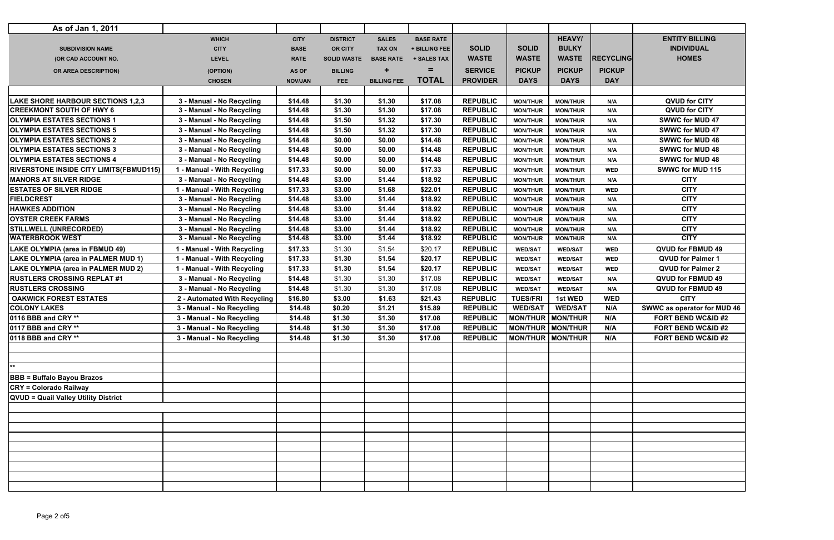| As of Jan 1, 2011                               |                              |                |                    |                    |                  |                                |                   |                            |                  |                               |
|-------------------------------------------------|------------------------------|----------------|--------------------|--------------------|------------------|--------------------------------|-------------------|----------------------------|------------------|-------------------------------|
|                                                 | <b>WHICH</b>                 | <b>CITY</b>    | <b>DISTRICT</b>    | <b>SALES</b>       | <b>BASE RATE</b> |                                |                   | <b>HEAVY/</b>              |                  | <b>ENTITY BILLING</b>         |
| <b>SUBDIVISION NAME</b>                         | <b>CITY</b>                  | <b>BASE</b>    | <b>OR CITY</b>     | <b>TAX ON</b>      | + BILLING FEE    | <b>SOLID</b>                   | <b>SOLID</b>      | <b>BULKY</b>               |                  | <b>INDIVIDUAL</b>             |
| (OR CAD ACCOUNT NO.                             | <b>LEVEL</b>                 | <b>RATE</b>    | <b>SOLID WASTE</b> | <b>BASE RATE</b>   | + SALES TAX      | <b>WASTE</b>                   | <b>WASTE</b>      | <b>WASTE</b>               | <b>RECYCLING</b> | <b>HOMES</b>                  |
| OR AREA DESCRIPTION)                            | (OPTION)                     | <b>AS OF</b>   | <b>BILLING</b>     |                    | =                | <b>SERVICE</b>                 | <b>PICKUP</b>     | <b>PICKUP</b>              | <b>PICKUP</b>    |                               |
|                                                 | <b>CHOSEN</b>                | <b>NOV/JAN</b> | FEE                | <b>BILLING FEE</b> | <b>TOTAL</b>     | <b>PROVIDER</b>                | <b>DAYS</b>       | <b>DAYS</b>                | <b>DAY</b>       |                               |
|                                                 |                              |                |                    |                    |                  |                                |                   |                            |                  |                               |
| <b>LAKE SHORE HARBOUR SECTIONS 1,2,3</b>        | 3 - Manual - No Recycling    | \$14.48        | \$1.30             | \$1.30             | \$17.08          | <b>REPUBLIC</b>                | <b>MON/THUR</b>   | <b>MON/THUR</b>            | N/A              | <b>QVUD for CITY</b>          |
| <b>CREEKMONT SOUTH OF HWY 6</b>                 | 3 - Manual - No Recycling    | \$14.48        | \$1.30             | \$1.30             | \$17.08          | <b>REPUBLIC</b>                | <b>MON/THUR</b>   | <b>MON/THUR</b>            | N/A              | <b>QVUD for CITY</b>          |
| <b>OLYMPIA ESTATES SECTIONS 1</b>               | 3 - Manual - No Recycling    | \$14.48        | \$1.50             | \$1.32             | \$17.30          | <b>REPUBLIC</b>                | <b>MON/THUR</b>   | <b>MON/THUR</b>            | N/A              | <b>SWWC for MUD 47</b>        |
| <b>OLYMPIA ESTATES SECTIONS 5</b>               | 3 - Manual - No Recycling    | \$14.48        | \$1.50             | \$1.32             | \$17.30          | <b>REPUBLIC</b>                | <b>MON/THUR</b>   | <b>MON/THUR</b>            | N/A              | <b>SWWC for MUD 47</b>        |
| <b>OLYMPIA ESTATES SECTIONS 2</b>               | 3 - Manual - No Recycling    | \$14.48        | \$0.00             | \$0.00             | \$14.48          | <b>REPUBLIC</b>                | <b>MON/THUR</b>   | <b>MON/THUR</b>            | N/A              | <b>SWWC for MUD 48</b>        |
| <b>OLYMPIA ESTATES SECTIONS 3</b>               | 3 - Manual - No Recycling    | \$14.48        | \$0.00             | \$0.00             | \$14.48          | <b>REPUBLIC</b>                | <b>MON/THUR</b>   | <b>MON/THUR</b>            | N/A              | <b>SWWC for MUD 48</b>        |
| <b>OLYMPIA ESTATES SECTIONS 4</b>               | 3 - Manual - No Recycling    | \$14.48        | \$0.00             | \$0.00             | \$14.48          | <b>REPUBLIC</b>                | <b>MON/THUR</b>   | <b>MON/THUR</b>            | N/A              | <b>SWWC for MUD 48</b>        |
| <b>RIVERSTONE INSIDE CITY LIMITS (FBMUD115)</b> | 1 - Manual - With Recycling  | \$17.33        | \$0.00             | \$0.00             | \$17.33          | <b>REPUBLIC</b>                | <b>MON/THUR</b>   | <b>MON/THUR</b>            | <b>WED</b>       | <b>SWWC for MUD 115</b>       |
| <b>MANORS AT SILVER RIDGE</b>                   | 3 - Manual - No Recycling    | \$14.48        | \$3.00             | \$1.44             | \$18.92          | <b>REPUBLIC</b>                | <b>MON/THUR</b>   | <b>MON/THUR</b>            | N/A              | <b>CITY</b>                   |
| <b>ESTATES OF SILVER RIDGE</b>                  | 1 - Manual - With Recycling  | \$17.33        | \$3.00             | \$1.68             | \$22.01          | <b>REPUBLIC</b>                | <b>MON/THUR</b>   | <b>MON/THUR</b>            | <b>WED</b>       | <b>CITY</b>                   |
| <b>FIELDCREST</b>                               | 3 - Manual - No Recycling    | \$14.48        | \$3.00             | \$1.44             | \$18.92          | <b>REPUBLIC</b>                | <b>MON/THUR</b>   | <b>MON/THUR</b>            | N/A              | <b>CITY</b>                   |
| <b>HAWKES ADDITION</b>                          | 3 - Manual - No Recycling    | \$14.48        | \$3.00             | \$1.44             | \$18.92          | <b>REPUBLIC</b>                | <b>MON/THUR</b>   | <b>MON/THUR</b>            | N/A              | <b>CITY</b>                   |
| <b>OYSTER CREEK FARMS</b>                       | 3 - Manual - No Recycling    | \$14.48        | \$3.00             | \$1.44             | \$18.92          | <b>REPUBLIC</b>                | <b>MON/THUR</b>   | <b>MON/THUR</b>            | N/A              | <b>CITY</b>                   |
| <b>STILLWELL (UNRECORDED)</b>                   | 3 - Manual - No Recycling    | \$14.48        | \$3.00             | \$1.44             | \$18.92          | <b>REPUBLIC</b>                | <b>MON/THUR</b>   | <b>MON/THUR</b>            | N/A              | <b>CITY</b>                   |
| <b>WATERBROOK WEST</b>                          | 3 - Manual - No Recycling    | \$14.48        | \$3.00             | \$1.44             | \$18.92          | <b>REPUBLIC</b>                | <b>MON/THUR</b>   | <b>MON/THUR</b>            | N/A              | <b>CITY</b>                   |
| <b>LAKE OLYMPIA (area in FBMUD 49)</b>          | 1 - Manual - With Recycling  | \$17.33        | \$1.30             | \$1.54             | \$20.17          | <b>REPUBLIC</b>                | <b>WED/SAT</b>    | <b>WED/SAT</b>             | <b>WED</b>       | QVUD for FBMUD 49             |
| LAKE OLYMPIA (area in PALMER MUD 1)             | 1 - Manual - With Recycling  | \$17.33        | \$1.30             | \$1.54             | \$20.17          | <b>REPUBLIC</b>                | <b>WED/SAT</b>    | <b>WED/SAT</b>             | <b>WED</b>       | <b>QVUD for Palmer 1</b>      |
| LAKE OLYMPIA (area in PALMER MUD 2)             | 1 - Manual - With Recycling  | \$17.33        | \$1.30             | \$1.54             | \$20.17          | <b>REPUBLIC</b>                | <b>WED/SAT</b>    | <b>WED/SAT</b>             | <b>WED</b>       | <b>QVUD for Palmer 2</b>      |
| <b>RUSTLERS CROSSING REPLAT #1</b>              | 3 - Manual - No Recycling    | \$14.48        | \$1.30             | \$1.30             | \$17.08          | <b>REPUBLIC</b>                | <b>WED/SAT</b>    | <b>WED/SAT</b>             | N/A              | QVUD for FBMUD 49             |
| <b>RUSTLERS CROSSING</b>                        | 3 - Manual - No Recycling    | \$14.48        | \$1.30             | \$1.30             | \$17.08          | <b>REPUBLIC</b>                | <b>WED/SAT</b>    | <b>WED/SAT</b>             | N/A              | QVUD for FBMUD 49             |
| <b>OAKWICK FOREST ESTATES</b>                   | 2 - Automated With Recycling | \$16.80        | \$3.00             | \$1.63             | \$21.43          | <b>REPUBLIC</b>                | <b>TUES/FRI</b>   | <b>1st WED</b>             | <b>WED</b>       | <b>CITY</b>                   |
| <b>COLONY LAKES</b>                             | 3 - Manual - No Recycling    | \$14.48        | \$0.20             | \$1.21             | \$15.89          | <b>REPUBLIC</b>                | <b>WED/SAT</b>    | <b>WED/SAT</b>             | N/A              | SWWC as operator for MUD 46   |
| 0116 BBB and CRY **                             | 3 - Manual - No Recycling    | \$14.48        | \$1.30             | \$1.30             | \$17.08          | <b>REPUBLIC</b>                |                   | <b>MON/THUR   MON/THUR</b> | N/A              | <b>FORT BEND WC&amp;ID #2</b> |
| 0117 BBB and CRY **                             | 3 - Manual - No Recycling    | \$14.48        | \$1.30             | \$1.30             | \$17.08          | REPUBLIC   MON/THUR   MON/THUR |                   |                            | N/A              | FORT BEND WC&ID #2            |
| 0118 BBB and CRY **                             | 3 - Manual - No Recycling    | \$14.48        | \$1.30             | \$1.30             | \$17.08          | <b>REPUBLIC</b>                | MON/THUR MON/THUR |                            | N/A              | FORT BEND WC&ID #2            |
|                                                 |                              |                |                    |                    |                  |                                |                   |                            |                  |                               |
| $*$                                             |                              |                |                    |                    |                  |                                |                   |                            |                  |                               |
|                                                 |                              |                |                    |                    |                  |                                |                   |                            |                  |                               |
| <b>BBB = Buffalo Bayou Brazos</b>               |                              |                |                    |                    |                  |                                |                   |                            |                  |                               |
| <b>CRY = Colorado Railway</b>                   |                              |                |                    |                    |                  |                                |                   |                            |                  |                               |
| <b>QVUD = Quail Valley Utility District</b>     |                              |                |                    |                    |                  |                                |                   |                            |                  |                               |
|                                                 |                              |                |                    |                    |                  |                                |                   |                            |                  |                               |
|                                                 |                              |                |                    |                    |                  |                                |                   |                            |                  |                               |
|                                                 |                              |                |                    |                    |                  |                                |                   |                            |                  |                               |
|                                                 |                              |                |                    |                    |                  |                                |                   |                            |                  |                               |
|                                                 |                              |                |                    |                    |                  |                                |                   |                            |                  |                               |
|                                                 |                              |                |                    |                    |                  |                                |                   |                            |                  |                               |
|                                                 |                              |                |                    |                    |                  |                                |                   |                            |                  |                               |
|                                                 |                              |                |                    |                    |                  |                                |                   |                            |                  |                               |
|                                                 |                              |                |                    |                    |                  |                                |                   |                            |                  |                               |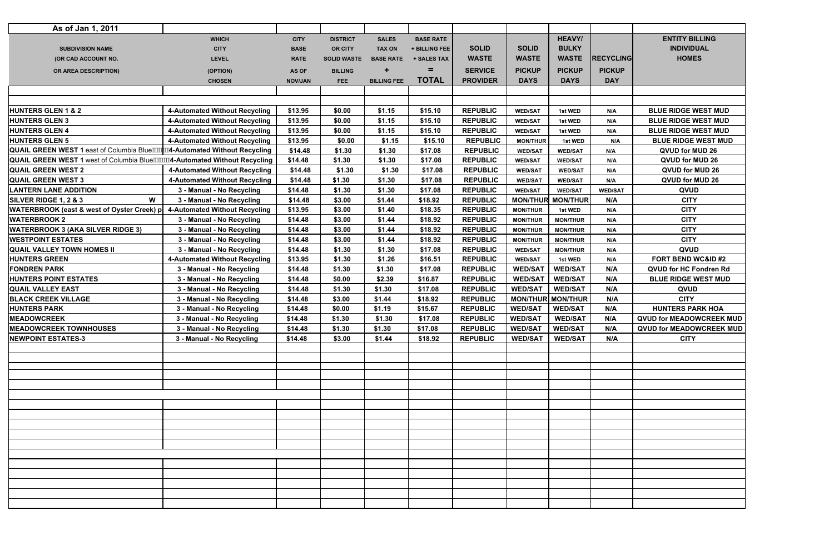| <b>HEAVY/</b><br><b>ENTITY BILLING</b><br><b>WHICH</b><br><b>CITY</b><br><b>DISTRICT</b><br><b>SALES</b><br><b>BASE RATE</b><br><b>SOLID</b><br><b>BULKY</b><br><b>INDIVIDUAL</b><br><b>SOLID</b><br><b>CITY</b><br><b>BASE</b><br><b>OR CITY</b><br><b>TAX ON</b><br>+ BILLING FEE<br><b>SUBDIVISION NAME</b><br><b>HOMES</b><br><b>WASTE</b><br><b>RECYCLING</b><br><b>WASTE</b><br><b>WASTE</b><br><b>LEVEL</b><br><b>RATE</b><br><b>SOLID WASTE</b><br><b>BASE RATE</b><br>(OR CAD ACCOUNT NO.<br>+ SALES TAX<br>Ξ<br><b>PICKUP</b><br><b>SERVICE</b><br><b>PICKUP</b><br><b>PICKUP</b><br><b>BILLING</b><br>(OPTION)<br><b>AS OF</b><br>OR AREA DESCRIPTION)<br><b>TOTAL</b><br><b>PROVIDER</b><br><b>DAYS</b><br><b>DAYS</b><br><b>DAY</b><br><b>CHOSEN</b><br><b>BILLING FEE</b><br><b>NOV/JAN</b><br><b>FEE</b><br><b>REPUBLIC</b><br>4-Automated Without Recycling<br>\$13.95<br>\$0.00<br>\$1.15<br>\$15.10<br><b>BLUE RIDGE WEST MUD</b><br><b>WED/SAT</b><br>1st WED<br>N/A<br>\$13.95<br>\$0.00<br>\$1.15<br>\$15.10<br><b>REPUBLIC</b><br><b>BLUE RIDGE WEST MUD</b><br><b>4-Automated Without Recycling</b><br>1st WED<br><b>WED/SAT</b><br>N/A<br>4-Automated Without Recycling<br>\$13.95<br>\$0.00<br>\$1.15<br>\$15.10<br><b>REPUBLIC</b><br><b>BLUE RIDGE WEST MUD</b><br>1st WED<br><b>WED/SAT</b><br>N/A<br>\$13.95<br>\$1.15<br>\$15.10<br><b>REPUBLIC</b><br>4-Automated Without Recycling<br>\$0.00<br><b>BLUE RIDGE WEST MUD</b><br><b>MON/THUR</b><br>1st WED<br>N/A<br>\$14.48<br>\$1.30<br>\$17.08<br><b>REPUBLIC</b><br>\$1.30<br>QVUD for MUD 26<br><b>WED/SAT</b><br><b>WED/SAT</b><br>N/A<br>QUAIL GREEN WEST 1 west of Columbia Blue Mill Automated Without Recycling<br>\$14.48<br><b>REPUBLIC</b><br>\$1.30<br>\$1.30<br>\$17.08<br>QVUD for MUD 26<br><b>WED/SAT</b><br><b>WED/SAT</b><br>N/A<br>4-Automated Without Recycling<br>\$14.48<br>\$1.30<br>\$1.30<br>\$17.08<br><b>REPUBLIC</b><br>QVUD for MUD 26<br><b>WED/SAT</b><br><b>WED/SAT</b><br>N/A<br><b>REPUBLIC</b><br>4-Automated Without Recycling<br>\$14.48<br>\$1.30<br>\$1.30<br>\$17.08<br>QVUD for MUD 26<br><b>WED/SAT</b><br>N/A<br><b>WED/SAT</b><br>\$14.48<br>\$1.30<br>\$1.30<br>\$17.08<br><b>REPUBLIC</b><br>QVUD<br>3 - Manual - No Recycling<br><b>WED/SAT</b><br><b>WED/SAT</b><br><b>WED/SAT</b><br>W<br>\$14.48<br>\$1.44<br>\$18.92<br><b>REPUBLIC</b><br><b>MON/THUR</b><br><b>MON/THUR</b><br>N/A<br><b>CITY</b><br>3 - Manual - No Recycling<br>\$3.00<br><b>CITY</b><br>\$13.95<br>\$1.40<br><b>REPUBLIC</b><br>4-Automated Without Recycling<br>\$3.00<br>\$18.35<br><b>MON/THUR</b><br>1st WED<br>N/A<br><b>CITY</b><br>\$14.48<br>\$3.00<br>\$1.44<br>\$18.92<br><b>REPUBLIC</b><br>3 - Manual - No Recycling<br><b>MON/THUR</b><br><b>MON/THUR</b><br>N/A<br>\$14.48<br>\$18.92<br><b>REPUBLIC</b><br><b>CITY</b><br>3 - Manual - No Recycling<br>\$3.00<br>\$1.44<br>N/A<br><b>MON/THUR</b><br><b>MON/THUR</b><br>\$14.48<br><b>CITY</b><br>\$3.00<br>\$1.44<br>\$18.92<br><b>REPUBLIC</b><br>3 - Manual - No Recycling<br><b>MON/THUR</b><br><b>MON/THUR</b><br>N/A<br>\$14.48<br>\$1.30<br>\$1.30<br><b>REPUBLIC</b><br>QVUD<br>3 - Manual - No Recycling<br>\$17.08<br><b>WED/SAT</b><br><b>MON/THUR</b><br>N/A<br>\$13.95<br>\$1.26<br>\$1.30<br>\$16.51<br><b>REPUBLIC</b><br><b>FORT BEND WC&amp;ID #2</b><br><b>4-Automated Without Recycling</b><br><b>WED/SAT</b><br>1st WED<br>N/A<br>\$14.48<br>\$1.30<br>\$1.30<br><b>REPUBLIC</b><br><b>WED/SAT</b><br><b>WED/SAT</b><br>QVUD for HC Fondren Rd<br>3 - Manual - No Recycling<br>\$17.08<br>N/A<br><b>REPUBLIC</b><br><b>WED/SAT</b><br><b>WED/SAT</b><br>\$14.48<br>\$2.39<br>\$16.87<br>N/A<br><b>BLUE RIDGE WEST MUD</b><br>3 - Manual - No Recycling<br>\$0.00<br>\$14.48<br>\$1.30<br><b>WED/SAT</b><br><b>WED/SAT</b><br>N/A<br>3 - Manual - No Recycling<br>\$1.30<br>\$17.08<br><b>REPUBLIC</b><br><b>QVUD</b><br><b>MON/THUR MON/THUR</b><br><b>CITY</b><br>3 - Manual - No Recycling<br>\$14.48<br>\$3.00<br>\$18.92<br><b>REPUBLIC</b><br>N/A<br>\$1.44<br>\$14.48<br><b>WED/SAT</b><br><b>WED/SAT</b><br>N/A<br><b>HUNTERS PARK HOA</b><br>3 - Manual - No Recycling<br>\$0.00<br>\$1.19<br>\$15.67<br><b>REPUBLIC</b><br>3 - Manual - No Recycling<br>\$14.48<br>\$1.30<br>\$1.30<br>\$17.08<br><b>REPUBLIC</b><br><b>WED/SAT</b><br><b>WED/SAT</b><br>N/A<br>WED/SAT   WED/SAT<br>N/A<br><b>MEADOWCREEK TOWNHOUSES</b><br>\$14.48<br>\$1.30<br>\$1.30<br>\$17.08<br><b>REPUBLIC</b><br>3 - Manual - No Recycling<br><b>NEWPOINT ESTATES-3</b><br>3 - Manual - No Recycling<br>\$1.44<br><b>REPUBLIC</b><br><b>WED/SAT</b><br><b>WED/SAT</b><br><b>CITY</b><br>\$14.48<br>\$3.00<br>\$18.92<br>N/A | As of Jan 1, 2011                          |  |  |  |  |  |
|----------------------------------------------------------------------------------------------------------------------------------------------------------------------------------------------------------------------------------------------------------------------------------------------------------------------------------------------------------------------------------------------------------------------------------------------------------------------------------------------------------------------------------------------------------------------------------------------------------------------------------------------------------------------------------------------------------------------------------------------------------------------------------------------------------------------------------------------------------------------------------------------------------------------------------------------------------------------------------------------------------------------------------------------------------------------------------------------------------------------------------------------------------------------------------------------------------------------------------------------------------------------------------------------------------------------------------------------------------------------------------------------------------------------------------------------------------------------------------------------------------------------------------------------------------------------------------------------------------------------------------------------------------------------------------------------------------------------------------------------------------------------------------------------------------------------------------------------------------------------------------------------------------------------------------------------------------------------------------------------------------------------------------------------------------------------------------------------------------------------------------------------------------------------------------------------------------------------------------------------------------------------------------------------------------------------------------------------------------------------------------------------------------------------------------------------------------------------------------------------------------------------------------------------------------------------------------------------------------------------------------------------------------------------------------------------------------------------------------------------------------------------------------------------------------------------------------------------------------------------------------------------------------------------------------------------------------------------------------------------------------------------------------------------------------------------------------------------------------------------------------------------------------------------------------------------------------------------------------------------------------------------------------------------------------------------------------------------------------------------------------------------------------------------------------------------------------------------------------------------------------------------------------------------------------------------------------------------------------------------------------------------------------------------------------------------------------------------------------------------------------------------------------------------------------------------------------------------------------------------------------------------------------------------------------------------------------------------------------------------------------------------------------------------------------------------------------------------------------------------------------------------------------------------------------------------------------------------------------------------------------------------------------------------------------------------------------------------------------------------------------------------------------------------------------------------------------------------------------------------------------------------------------------------------------------------------------------------------------------------------------------------------------------------------------------------------------|--------------------------------------------|--|--|--|--|--|
|                                                                                                                                                                                                                                                                                                                                                                                                                                                                                                                                                                                                                                                                                                                                                                                                                                                                                                                                                                                                                                                                                                                                                                                                                                                                                                                                                                                                                                                                                                                                                                                                                                                                                                                                                                                                                                                                                                                                                                                                                                                                                                                                                                                                                                                                                                                                                                                                                                                                                                                                                                                                                                                                                                                                                                                                                                                                                                                                                                                                                                                                                                                                                                                                                                                                                                                                                                                                                                                                                                                                                                                                                                                                                                                                                                                                                                                                                                                                                                                                                                                                                                                                                                                                                                                                                                                                                                                                                                                                                                                                                                                                                                                                                                          |                                            |  |  |  |  |  |
|                                                                                                                                                                                                                                                                                                                                                                                                                                                                                                                                                                                                                                                                                                                                                                                                                                                                                                                                                                                                                                                                                                                                                                                                                                                                                                                                                                                                                                                                                                                                                                                                                                                                                                                                                                                                                                                                                                                                                                                                                                                                                                                                                                                                                                                                                                                                                                                                                                                                                                                                                                                                                                                                                                                                                                                                                                                                                                                                                                                                                                                                                                                                                                                                                                                                                                                                                                                                                                                                                                                                                                                                                                                                                                                                                                                                                                                                                                                                                                                                                                                                                                                                                                                                                                                                                                                                                                                                                                                                                                                                                                                                                                                                                                          |                                            |  |  |  |  |  |
|                                                                                                                                                                                                                                                                                                                                                                                                                                                                                                                                                                                                                                                                                                                                                                                                                                                                                                                                                                                                                                                                                                                                                                                                                                                                                                                                                                                                                                                                                                                                                                                                                                                                                                                                                                                                                                                                                                                                                                                                                                                                                                                                                                                                                                                                                                                                                                                                                                                                                                                                                                                                                                                                                                                                                                                                                                                                                                                                                                                                                                                                                                                                                                                                                                                                                                                                                                                                                                                                                                                                                                                                                                                                                                                                                                                                                                                                                                                                                                                                                                                                                                                                                                                                                                                                                                                                                                                                                                                                                                                                                                                                                                                                                                          |                                            |  |  |  |  |  |
|                                                                                                                                                                                                                                                                                                                                                                                                                                                                                                                                                                                                                                                                                                                                                                                                                                                                                                                                                                                                                                                                                                                                                                                                                                                                                                                                                                                                                                                                                                                                                                                                                                                                                                                                                                                                                                                                                                                                                                                                                                                                                                                                                                                                                                                                                                                                                                                                                                                                                                                                                                                                                                                                                                                                                                                                                                                                                                                                                                                                                                                                                                                                                                                                                                                                                                                                                                                                                                                                                                                                                                                                                                                                                                                                                                                                                                                                                                                                                                                                                                                                                                                                                                                                                                                                                                                                                                                                                                                                                                                                                                                                                                                                                                          |                                            |  |  |  |  |  |
|                                                                                                                                                                                                                                                                                                                                                                                                                                                                                                                                                                                                                                                                                                                                                                                                                                                                                                                                                                                                                                                                                                                                                                                                                                                                                                                                                                                                                                                                                                                                                                                                                                                                                                                                                                                                                                                                                                                                                                                                                                                                                                                                                                                                                                                                                                                                                                                                                                                                                                                                                                                                                                                                                                                                                                                                                                                                                                                                                                                                                                                                                                                                                                                                                                                                                                                                                                                                                                                                                                                                                                                                                                                                                                                                                                                                                                                                                                                                                                                                                                                                                                                                                                                                                                                                                                                                                                                                                                                                                                                                                                                                                                                                                                          |                                            |  |  |  |  |  |
|                                                                                                                                                                                                                                                                                                                                                                                                                                                                                                                                                                                                                                                                                                                                                                                                                                                                                                                                                                                                                                                                                                                                                                                                                                                                                                                                                                                                                                                                                                                                                                                                                                                                                                                                                                                                                                                                                                                                                                                                                                                                                                                                                                                                                                                                                                                                                                                                                                                                                                                                                                                                                                                                                                                                                                                                                                                                                                                                                                                                                                                                                                                                                                                                                                                                                                                                                                                                                                                                                                                                                                                                                                                                                                                                                                                                                                                                                                                                                                                                                                                                                                                                                                                                                                                                                                                                                                                                                                                                                                                                                                                                                                                                                                          |                                            |  |  |  |  |  |
| <b>QVUD for MEADOWCREEK MUD</b><br>QVUD for MEADOWCREEK MUD                                                                                                                                                                                                                                                                                                                                                                                                                                                                                                                                                                                                                                                                                                                                                                                                                                                                                                                                                                                                                                                                                                                                                                                                                                                                                                                                                                                                                                                                                                                                                                                                                                                                                                                                                                                                                                                                                                                                                                                                                                                                                                                                                                                                                                                                                                                                                                                                                                                                                                                                                                                                                                                                                                                                                                                                                                                                                                                                                                                                                                                                                                                                                                                                                                                                                                                                                                                                                                                                                                                                                                                                                                                                                                                                                                                                                                                                                                                                                                                                                                                                                                                                                                                                                                                                                                                                                                                                                                                                                                                                                                                                                                              |                                            |  |  |  |  |  |
|                                                                                                                                                                                                                                                                                                                                                                                                                                                                                                                                                                                                                                                                                                                                                                                                                                                                                                                                                                                                                                                                                                                                                                                                                                                                                                                                                                                                                                                                                                                                                                                                                                                                                                                                                                                                                                                                                                                                                                                                                                                                                                                                                                                                                                                                                                                                                                                                                                                                                                                                                                                                                                                                                                                                                                                                                                                                                                                                                                                                                                                                                                                                                                                                                                                                                                                                                                                                                                                                                                                                                                                                                                                                                                                                                                                                                                                                                                                                                                                                                                                                                                                                                                                                                                                                                                                                                                                                                                                                                                                                                                                                                                                                                                          | <b>HUNTERS GLEN 1 &amp; 2</b>              |  |  |  |  |  |
|                                                                                                                                                                                                                                                                                                                                                                                                                                                                                                                                                                                                                                                                                                                                                                                                                                                                                                                                                                                                                                                                                                                                                                                                                                                                                                                                                                                                                                                                                                                                                                                                                                                                                                                                                                                                                                                                                                                                                                                                                                                                                                                                                                                                                                                                                                                                                                                                                                                                                                                                                                                                                                                                                                                                                                                                                                                                                                                                                                                                                                                                                                                                                                                                                                                                                                                                                                                                                                                                                                                                                                                                                                                                                                                                                                                                                                                                                                                                                                                                                                                                                                                                                                                                                                                                                                                                                                                                                                                                                                                                                                                                                                                                                                          | <b>HUNTERS GLEN 3</b>                      |  |  |  |  |  |
|                                                                                                                                                                                                                                                                                                                                                                                                                                                                                                                                                                                                                                                                                                                                                                                                                                                                                                                                                                                                                                                                                                                                                                                                                                                                                                                                                                                                                                                                                                                                                                                                                                                                                                                                                                                                                                                                                                                                                                                                                                                                                                                                                                                                                                                                                                                                                                                                                                                                                                                                                                                                                                                                                                                                                                                                                                                                                                                                                                                                                                                                                                                                                                                                                                                                                                                                                                                                                                                                                                                                                                                                                                                                                                                                                                                                                                                                                                                                                                                                                                                                                                                                                                                                                                                                                                                                                                                                                                                                                                                                                                                                                                                                                                          | <b>HUNTERS GLEN 4</b>                      |  |  |  |  |  |
|                                                                                                                                                                                                                                                                                                                                                                                                                                                                                                                                                                                                                                                                                                                                                                                                                                                                                                                                                                                                                                                                                                                                                                                                                                                                                                                                                                                                                                                                                                                                                                                                                                                                                                                                                                                                                                                                                                                                                                                                                                                                                                                                                                                                                                                                                                                                                                                                                                                                                                                                                                                                                                                                                                                                                                                                                                                                                                                                                                                                                                                                                                                                                                                                                                                                                                                                                                                                                                                                                                                                                                                                                                                                                                                                                                                                                                                                                                                                                                                                                                                                                                                                                                                                                                                                                                                                                                                                                                                                                                                                                                                                                                                                                                          | <b>HUNTERS GLEN 5</b>                      |  |  |  |  |  |
|                                                                                                                                                                                                                                                                                                                                                                                                                                                                                                                                                                                                                                                                                                                                                                                                                                                                                                                                                                                                                                                                                                                                                                                                                                                                                                                                                                                                                                                                                                                                                                                                                                                                                                                                                                                                                                                                                                                                                                                                                                                                                                                                                                                                                                                                                                                                                                                                                                                                                                                                                                                                                                                                                                                                                                                                                                                                                                                                                                                                                                                                                                                                                                                                                                                                                                                                                                                                                                                                                                                                                                                                                                                                                                                                                                                                                                                                                                                                                                                                                                                                                                                                                                                                                                                                                                                                                                                                                                                                                                                                                                                                                                                                                                          |                                            |  |  |  |  |  |
|                                                                                                                                                                                                                                                                                                                                                                                                                                                                                                                                                                                                                                                                                                                                                                                                                                                                                                                                                                                                                                                                                                                                                                                                                                                                                                                                                                                                                                                                                                                                                                                                                                                                                                                                                                                                                                                                                                                                                                                                                                                                                                                                                                                                                                                                                                                                                                                                                                                                                                                                                                                                                                                                                                                                                                                                                                                                                                                                                                                                                                                                                                                                                                                                                                                                                                                                                                                                                                                                                                                                                                                                                                                                                                                                                                                                                                                                                                                                                                                                                                                                                                                                                                                                                                                                                                                                                                                                                                                                                                                                                                                                                                                                                                          |                                            |  |  |  |  |  |
|                                                                                                                                                                                                                                                                                                                                                                                                                                                                                                                                                                                                                                                                                                                                                                                                                                                                                                                                                                                                                                                                                                                                                                                                                                                                                                                                                                                                                                                                                                                                                                                                                                                                                                                                                                                                                                                                                                                                                                                                                                                                                                                                                                                                                                                                                                                                                                                                                                                                                                                                                                                                                                                                                                                                                                                                                                                                                                                                                                                                                                                                                                                                                                                                                                                                                                                                                                                                                                                                                                                                                                                                                                                                                                                                                                                                                                                                                                                                                                                                                                                                                                                                                                                                                                                                                                                                                                                                                                                                                                                                                                                                                                                                                                          | <b>QUAIL GREEN WEST 2</b>                  |  |  |  |  |  |
|                                                                                                                                                                                                                                                                                                                                                                                                                                                                                                                                                                                                                                                                                                                                                                                                                                                                                                                                                                                                                                                                                                                                                                                                                                                                                                                                                                                                                                                                                                                                                                                                                                                                                                                                                                                                                                                                                                                                                                                                                                                                                                                                                                                                                                                                                                                                                                                                                                                                                                                                                                                                                                                                                                                                                                                                                                                                                                                                                                                                                                                                                                                                                                                                                                                                                                                                                                                                                                                                                                                                                                                                                                                                                                                                                                                                                                                                                                                                                                                                                                                                                                                                                                                                                                                                                                                                                                                                                                                                                                                                                                                                                                                                                                          | <b>QUAIL GREEN WEST 3</b>                  |  |  |  |  |  |
|                                                                                                                                                                                                                                                                                                                                                                                                                                                                                                                                                                                                                                                                                                                                                                                                                                                                                                                                                                                                                                                                                                                                                                                                                                                                                                                                                                                                                                                                                                                                                                                                                                                                                                                                                                                                                                                                                                                                                                                                                                                                                                                                                                                                                                                                                                                                                                                                                                                                                                                                                                                                                                                                                                                                                                                                                                                                                                                                                                                                                                                                                                                                                                                                                                                                                                                                                                                                                                                                                                                                                                                                                                                                                                                                                                                                                                                                                                                                                                                                                                                                                                                                                                                                                                                                                                                                                                                                                                                                                                                                                                                                                                                                                                          | <b>LANTERN LANE ADDITION</b>               |  |  |  |  |  |
|                                                                                                                                                                                                                                                                                                                                                                                                                                                                                                                                                                                                                                                                                                                                                                                                                                                                                                                                                                                                                                                                                                                                                                                                                                                                                                                                                                                                                                                                                                                                                                                                                                                                                                                                                                                                                                                                                                                                                                                                                                                                                                                                                                                                                                                                                                                                                                                                                                                                                                                                                                                                                                                                                                                                                                                                                                                                                                                                                                                                                                                                                                                                                                                                                                                                                                                                                                                                                                                                                                                                                                                                                                                                                                                                                                                                                                                                                                                                                                                                                                                                                                                                                                                                                                                                                                                                                                                                                                                                                                                                                                                                                                                                                                          | SILVER RIDGE 1, 2 & 3                      |  |  |  |  |  |
|                                                                                                                                                                                                                                                                                                                                                                                                                                                                                                                                                                                                                                                                                                                                                                                                                                                                                                                                                                                                                                                                                                                                                                                                                                                                                                                                                                                                                                                                                                                                                                                                                                                                                                                                                                                                                                                                                                                                                                                                                                                                                                                                                                                                                                                                                                                                                                                                                                                                                                                                                                                                                                                                                                                                                                                                                                                                                                                                                                                                                                                                                                                                                                                                                                                                                                                                                                                                                                                                                                                                                                                                                                                                                                                                                                                                                                                                                                                                                                                                                                                                                                                                                                                                                                                                                                                                                                                                                                                                                                                                                                                                                                                                                                          | WATERBROOK (east & west of Oyster Creek) p |  |  |  |  |  |
|                                                                                                                                                                                                                                                                                                                                                                                                                                                                                                                                                                                                                                                                                                                                                                                                                                                                                                                                                                                                                                                                                                                                                                                                                                                                                                                                                                                                                                                                                                                                                                                                                                                                                                                                                                                                                                                                                                                                                                                                                                                                                                                                                                                                                                                                                                                                                                                                                                                                                                                                                                                                                                                                                                                                                                                                                                                                                                                                                                                                                                                                                                                                                                                                                                                                                                                                                                                                                                                                                                                                                                                                                                                                                                                                                                                                                                                                                                                                                                                                                                                                                                                                                                                                                                                                                                                                                                                                                                                                                                                                                                                                                                                                                                          | <b>WATERBROOK 2</b>                        |  |  |  |  |  |
|                                                                                                                                                                                                                                                                                                                                                                                                                                                                                                                                                                                                                                                                                                                                                                                                                                                                                                                                                                                                                                                                                                                                                                                                                                                                                                                                                                                                                                                                                                                                                                                                                                                                                                                                                                                                                                                                                                                                                                                                                                                                                                                                                                                                                                                                                                                                                                                                                                                                                                                                                                                                                                                                                                                                                                                                                                                                                                                                                                                                                                                                                                                                                                                                                                                                                                                                                                                                                                                                                                                                                                                                                                                                                                                                                                                                                                                                                                                                                                                                                                                                                                                                                                                                                                                                                                                                                                                                                                                                                                                                                                                                                                                                                                          | <b>WATERBROOK 3 (AKA SILVER RIDGE 3)</b>   |  |  |  |  |  |
|                                                                                                                                                                                                                                                                                                                                                                                                                                                                                                                                                                                                                                                                                                                                                                                                                                                                                                                                                                                                                                                                                                                                                                                                                                                                                                                                                                                                                                                                                                                                                                                                                                                                                                                                                                                                                                                                                                                                                                                                                                                                                                                                                                                                                                                                                                                                                                                                                                                                                                                                                                                                                                                                                                                                                                                                                                                                                                                                                                                                                                                                                                                                                                                                                                                                                                                                                                                                                                                                                                                                                                                                                                                                                                                                                                                                                                                                                                                                                                                                                                                                                                                                                                                                                                                                                                                                                                                                                                                                                                                                                                                                                                                                                                          | <b>WESTPOINT ESTATES</b>                   |  |  |  |  |  |
|                                                                                                                                                                                                                                                                                                                                                                                                                                                                                                                                                                                                                                                                                                                                                                                                                                                                                                                                                                                                                                                                                                                                                                                                                                                                                                                                                                                                                                                                                                                                                                                                                                                                                                                                                                                                                                                                                                                                                                                                                                                                                                                                                                                                                                                                                                                                                                                                                                                                                                                                                                                                                                                                                                                                                                                                                                                                                                                                                                                                                                                                                                                                                                                                                                                                                                                                                                                                                                                                                                                                                                                                                                                                                                                                                                                                                                                                                                                                                                                                                                                                                                                                                                                                                                                                                                                                                                                                                                                                                                                                                                                                                                                                                                          | <b>QUAIL VALLEY TOWN HOMES II</b>          |  |  |  |  |  |
|                                                                                                                                                                                                                                                                                                                                                                                                                                                                                                                                                                                                                                                                                                                                                                                                                                                                                                                                                                                                                                                                                                                                                                                                                                                                                                                                                                                                                                                                                                                                                                                                                                                                                                                                                                                                                                                                                                                                                                                                                                                                                                                                                                                                                                                                                                                                                                                                                                                                                                                                                                                                                                                                                                                                                                                                                                                                                                                                                                                                                                                                                                                                                                                                                                                                                                                                                                                                                                                                                                                                                                                                                                                                                                                                                                                                                                                                                                                                                                                                                                                                                                                                                                                                                                                                                                                                                                                                                                                                                                                                                                                                                                                                                                          | <b>HUNTERS GREEN</b>                       |  |  |  |  |  |
|                                                                                                                                                                                                                                                                                                                                                                                                                                                                                                                                                                                                                                                                                                                                                                                                                                                                                                                                                                                                                                                                                                                                                                                                                                                                                                                                                                                                                                                                                                                                                                                                                                                                                                                                                                                                                                                                                                                                                                                                                                                                                                                                                                                                                                                                                                                                                                                                                                                                                                                                                                                                                                                                                                                                                                                                                                                                                                                                                                                                                                                                                                                                                                                                                                                                                                                                                                                                                                                                                                                                                                                                                                                                                                                                                                                                                                                                                                                                                                                                                                                                                                                                                                                                                                                                                                                                                                                                                                                                                                                                                                                                                                                                                                          | <b>FONDREN PARK</b>                        |  |  |  |  |  |
|                                                                                                                                                                                                                                                                                                                                                                                                                                                                                                                                                                                                                                                                                                                                                                                                                                                                                                                                                                                                                                                                                                                                                                                                                                                                                                                                                                                                                                                                                                                                                                                                                                                                                                                                                                                                                                                                                                                                                                                                                                                                                                                                                                                                                                                                                                                                                                                                                                                                                                                                                                                                                                                                                                                                                                                                                                                                                                                                                                                                                                                                                                                                                                                                                                                                                                                                                                                                                                                                                                                                                                                                                                                                                                                                                                                                                                                                                                                                                                                                                                                                                                                                                                                                                                                                                                                                                                                                                                                                                                                                                                                                                                                                                                          | <b>HUNTERS POINT ESTATES</b>               |  |  |  |  |  |
|                                                                                                                                                                                                                                                                                                                                                                                                                                                                                                                                                                                                                                                                                                                                                                                                                                                                                                                                                                                                                                                                                                                                                                                                                                                                                                                                                                                                                                                                                                                                                                                                                                                                                                                                                                                                                                                                                                                                                                                                                                                                                                                                                                                                                                                                                                                                                                                                                                                                                                                                                                                                                                                                                                                                                                                                                                                                                                                                                                                                                                                                                                                                                                                                                                                                                                                                                                                                                                                                                                                                                                                                                                                                                                                                                                                                                                                                                                                                                                                                                                                                                                                                                                                                                                                                                                                                                                                                                                                                                                                                                                                                                                                                                                          | <b>QUAIL VALLEY EAST</b>                   |  |  |  |  |  |
|                                                                                                                                                                                                                                                                                                                                                                                                                                                                                                                                                                                                                                                                                                                                                                                                                                                                                                                                                                                                                                                                                                                                                                                                                                                                                                                                                                                                                                                                                                                                                                                                                                                                                                                                                                                                                                                                                                                                                                                                                                                                                                                                                                                                                                                                                                                                                                                                                                                                                                                                                                                                                                                                                                                                                                                                                                                                                                                                                                                                                                                                                                                                                                                                                                                                                                                                                                                                                                                                                                                                                                                                                                                                                                                                                                                                                                                                                                                                                                                                                                                                                                                                                                                                                                                                                                                                                                                                                                                                                                                                                                                                                                                                                                          | <b>BLACK CREEK VILLAGE</b>                 |  |  |  |  |  |
|                                                                                                                                                                                                                                                                                                                                                                                                                                                                                                                                                                                                                                                                                                                                                                                                                                                                                                                                                                                                                                                                                                                                                                                                                                                                                                                                                                                                                                                                                                                                                                                                                                                                                                                                                                                                                                                                                                                                                                                                                                                                                                                                                                                                                                                                                                                                                                                                                                                                                                                                                                                                                                                                                                                                                                                                                                                                                                                                                                                                                                                                                                                                                                                                                                                                                                                                                                                                                                                                                                                                                                                                                                                                                                                                                                                                                                                                                                                                                                                                                                                                                                                                                                                                                                                                                                                                                                                                                                                                                                                                                                                                                                                                                                          | <b>HUNTERS PARK</b>                        |  |  |  |  |  |
|                                                                                                                                                                                                                                                                                                                                                                                                                                                                                                                                                                                                                                                                                                                                                                                                                                                                                                                                                                                                                                                                                                                                                                                                                                                                                                                                                                                                                                                                                                                                                                                                                                                                                                                                                                                                                                                                                                                                                                                                                                                                                                                                                                                                                                                                                                                                                                                                                                                                                                                                                                                                                                                                                                                                                                                                                                                                                                                                                                                                                                                                                                                                                                                                                                                                                                                                                                                                                                                                                                                                                                                                                                                                                                                                                                                                                                                                                                                                                                                                                                                                                                                                                                                                                                                                                                                                                                                                                                                                                                                                                                                                                                                                                                          | <b>MEADOWCREEK</b>                         |  |  |  |  |  |
|                                                                                                                                                                                                                                                                                                                                                                                                                                                                                                                                                                                                                                                                                                                                                                                                                                                                                                                                                                                                                                                                                                                                                                                                                                                                                                                                                                                                                                                                                                                                                                                                                                                                                                                                                                                                                                                                                                                                                                                                                                                                                                                                                                                                                                                                                                                                                                                                                                                                                                                                                                                                                                                                                                                                                                                                                                                                                                                                                                                                                                                                                                                                                                                                                                                                                                                                                                                                                                                                                                                                                                                                                                                                                                                                                                                                                                                                                                                                                                                                                                                                                                                                                                                                                                                                                                                                                                                                                                                                                                                                                                                                                                                                                                          |                                            |  |  |  |  |  |
|                                                                                                                                                                                                                                                                                                                                                                                                                                                                                                                                                                                                                                                                                                                                                                                                                                                                                                                                                                                                                                                                                                                                                                                                                                                                                                                                                                                                                                                                                                                                                                                                                                                                                                                                                                                                                                                                                                                                                                                                                                                                                                                                                                                                                                                                                                                                                                                                                                                                                                                                                                                                                                                                                                                                                                                                                                                                                                                                                                                                                                                                                                                                                                                                                                                                                                                                                                                                                                                                                                                                                                                                                                                                                                                                                                                                                                                                                                                                                                                                                                                                                                                                                                                                                                                                                                                                                                                                                                                                                                                                                                                                                                                                                                          |                                            |  |  |  |  |  |
|                                                                                                                                                                                                                                                                                                                                                                                                                                                                                                                                                                                                                                                                                                                                                                                                                                                                                                                                                                                                                                                                                                                                                                                                                                                                                                                                                                                                                                                                                                                                                                                                                                                                                                                                                                                                                                                                                                                                                                                                                                                                                                                                                                                                                                                                                                                                                                                                                                                                                                                                                                                                                                                                                                                                                                                                                                                                                                                                                                                                                                                                                                                                                                                                                                                                                                                                                                                                                                                                                                                                                                                                                                                                                                                                                                                                                                                                                                                                                                                                                                                                                                                                                                                                                                                                                                                                                                                                                                                                                                                                                                                                                                                                                                          |                                            |  |  |  |  |  |
|                                                                                                                                                                                                                                                                                                                                                                                                                                                                                                                                                                                                                                                                                                                                                                                                                                                                                                                                                                                                                                                                                                                                                                                                                                                                                                                                                                                                                                                                                                                                                                                                                                                                                                                                                                                                                                                                                                                                                                                                                                                                                                                                                                                                                                                                                                                                                                                                                                                                                                                                                                                                                                                                                                                                                                                                                                                                                                                                                                                                                                                                                                                                                                                                                                                                                                                                                                                                                                                                                                                                                                                                                                                                                                                                                                                                                                                                                                                                                                                                                                                                                                                                                                                                                                                                                                                                                                                                                                                                                                                                                                                                                                                                                                          |                                            |  |  |  |  |  |
|                                                                                                                                                                                                                                                                                                                                                                                                                                                                                                                                                                                                                                                                                                                                                                                                                                                                                                                                                                                                                                                                                                                                                                                                                                                                                                                                                                                                                                                                                                                                                                                                                                                                                                                                                                                                                                                                                                                                                                                                                                                                                                                                                                                                                                                                                                                                                                                                                                                                                                                                                                                                                                                                                                                                                                                                                                                                                                                                                                                                                                                                                                                                                                                                                                                                                                                                                                                                                                                                                                                                                                                                                                                                                                                                                                                                                                                                                                                                                                                                                                                                                                                                                                                                                                                                                                                                                                                                                                                                                                                                                                                                                                                                                                          |                                            |  |  |  |  |  |
|                                                                                                                                                                                                                                                                                                                                                                                                                                                                                                                                                                                                                                                                                                                                                                                                                                                                                                                                                                                                                                                                                                                                                                                                                                                                                                                                                                                                                                                                                                                                                                                                                                                                                                                                                                                                                                                                                                                                                                                                                                                                                                                                                                                                                                                                                                                                                                                                                                                                                                                                                                                                                                                                                                                                                                                                                                                                                                                                                                                                                                                                                                                                                                                                                                                                                                                                                                                                                                                                                                                                                                                                                                                                                                                                                                                                                                                                                                                                                                                                                                                                                                                                                                                                                                                                                                                                                                                                                                                                                                                                                                                                                                                                                                          |                                            |  |  |  |  |  |
|                                                                                                                                                                                                                                                                                                                                                                                                                                                                                                                                                                                                                                                                                                                                                                                                                                                                                                                                                                                                                                                                                                                                                                                                                                                                                                                                                                                                                                                                                                                                                                                                                                                                                                                                                                                                                                                                                                                                                                                                                                                                                                                                                                                                                                                                                                                                                                                                                                                                                                                                                                                                                                                                                                                                                                                                                                                                                                                                                                                                                                                                                                                                                                                                                                                                                                                                                                                                                                                                                                                                                                                                                                                                                                                                                                                                                                                                                                                                                                                                                                                                                                                                                                                                                                                                                                                                                                                                                                                                                                                                                                                                                                                                                                          |                                            |  |  |  |  |  |
|                                                                                                                                                                                                                                                                                                                                                                                                                                                                                                                                                                                                                                                                                                                                                                                                                                                                                                                                                                                                                                                                                                                                                                                                                                                                                                                                                                                                                                                                                                                                                                                                                                                                                                                                                                                                                                                                                                                                                                                                                                                                                                                                                                                                                                                                                                                                                                                                                                                                                                                                                                                                                                                                                                                                                                                                                                                                                                                                                                                                                                                                                                                                                                                                                                                                                                                                                                                                                                                                                                                                                                                                                                                                                                                                                                                                                                                                                                                                                                                                                                                                                                                                                                                                                                                                                                                                                                                                                                                                                                                                                                                                                                                                                                          |                                            |  |  |  |  |  |
|                                                                                                                                                                                                                                                                                                                                                                                                                                                                                                                                                                                                                                                                                                                                                                                                                                                                                                                                                                                                                                                                                                                                                                                                                                                                                                                                                                                                                                                                                                                                                                                                                                                                                                                                                                                                                                                                                                                                                                                                                                                                                                                                                                                                                                                                                                                                                                                                                                                                                                                                                                                                                                                                                                                                                                                                                                                                                                                                                                                                                                                                                                                                                                                                                                                                                                                                                                                                                                                                                                                                                                                                                                                                                                                                                                                                                                                                                                                                                                                                                                                                                                                                                                                                                                                                                                                                                                                                                                                                                                                                                                                                                                                                                                          |                                            |  |  |  |  |  |
|                                                                                                                                                                                                                                                                                                                                                                                                                                                                                                                                                                                                                                                                                                                                                                                                                                                                                                                                                                                                                                                                                                                                                                                                                                                                                                                                                                                                                                                                                                                                                                                                                                                                                                                                                                                                                                                                                                                                                                                                                                                                                                                                                                                                                                                                                                                                                                                                                                                                                                                                                                                                                                                                                                                                                                                                                                                                                                                                                                                                                                                                                                                                                                                                                                                                                                                                                                                                                                                                                                                                                                                                                                                                                                                                                                                                                                                                                                                                                                                                                                                                                                                                                                                                                                                                                                                                                                                                                                                                                                                                                                                                                                                                                                          |                                            |  |  |  |  |  |
|                                                                                                                                                                                                                                                                                                                                                                                                                                                                                                                                                                                                                                                                                                                                                                                                                                                                                                                                                                                                                                                                                                                                                                                                                                                                                                                                                                                                                                                                                                                                                                                                                                                                                                                                                                                                                                                                                                                                                                                                                                                                                                                                                                                                                                                                                                                                                                                                                                                                                                                                                                                                                                                                                                                                                                                                                                                                                                                                                                                                                                                                                                                                                                                                                                                                                                                                                                                                                                                                                                                                                                                                                                                                                                                                                                                                                                                                                                                                                                                                                                                                                                                                                                                                                                                                                                                                                                                                                                                                                                                                                                                                                                                                                                          |                                            |  |  |  |  |  |
|                                                                                                                                                                                                                                                                                                                                                                                                                                                                                                                                                                                                                                                                                                                                                                                                                                                                                                                                                                                                                                                                                                                                                                                                                                                                                                                                                                                                                                                                                                                                                                                                                                                                                                                                                                                                                                                                                                                                                                                                                                                                                                                                                                                                                                                                                                                                                                                                                                                                                                                                                                                                                                                                                                                                                                                                                                                                                                                                                                                                                                                                                                                                                                                                                                                                                                                                                                                                                                                                                                                                                                                                                                                                                                                                                                                                                                                                                                                                                                                                                                                                                                                                                                                                                                                                                                                                                                                                                                                                                                                                                                                                                                                                                                          |                                            |  |  |  |  |  |
|                                                                                                                                                                                                                                                                                                                                                                                                                                                                                                                                                                                                                                                                                                                                                                                                                                                                                                                                                                                                                                                                                                                                                                                                                                                                                                                                                                                                                                                                                                                                                                                                                                                                                                                                                                                                                                                                                                                                                                                                                                                                                                                                                                                                                                                                                                                                                                                                                                                                                                                                                                                                                                                                                                                                                                                                                                                                                                                                                                                                                                                                                                                                                                                                                                                                                                                                                                                                                                                                                                                                                                                                                                                                                                                                                                                                                                                                                                                                                                                                                                                                                                                                                                                                                                                                                                                                                                                                                                                                                                                                                                                                                                                                                                          |                                            |  |  |  |  |  |
|                                                                                                                                                                                                                                                                                                                                                                                                                                                                                                                                                                                                                                                                                                                                                                                                                                                                                                                                                                                                                                                                                                                                                                                                                                                                                                                                                                                                                                                                                                                                                                                                                                                                                                                                                                                                                                                                                                                                                                                                                                                                                                                                                                                                                                                                                                                                                                                                                                                                                                                                                                                                                                                                                                                                                                                                                                                                                                                                                                                                                                                                                                                                                                                                                                                                                                                                                                                                                                                                                                                                                                                                                                                                                                                                                                                                                                                                                                                                                                                                                                                                                                                                                                                                                                                                                                                                                                                                                                                                                                                                                                                                                                                                                                          |                                            |  |  |  |  |  |
|                                                                                                                                                                                                                                                                                                                                                                                                                                                                                                                                                                                                                                                                                                                                                                                                                                                                                                                                                                                                                                                                                                                                                                                                                                                                                                                                                                                                                                                                                                                                                                                                                                                                                                                                                                                                                                                                                                                                                                                                                                                                                                                                                                                                                                                                                                                                                                                                                                                                                                                                                                                                                                                                                                                                                                                                                                                                                                                                                                                                                                                                                                                                                                                                                                                                                                                                                                                                                                                                                                                                                                                                                                                                                                                                                                                                                                                                                                                                                                                                                                                                                                                                                                                                                                                                                                                                                                                                                                                                                                                                                                                                                                                                                                          |                                            |  |  |  |  |  |
|                                                                                                                                                                                                                                                                                                                                                                                                                                                                                                                                                                                                                                                                                                                                                                                                                                                                                                                                                                                                                                                                                                                                                                                                                                                                                                                                                                                                                                                                                                                                                                                                                                                                                                                                                                                                                                                                                                                                                                                                                                                                                                                                                                                                                                                                                                                                                                                                                                                                                                                                                                                                                                                                                                                                                                                                                                                                                                                                                                                                                                                                                                                                                                                                                                                                                                                                                                                                                                                                                                                                                                                                                                                                                                                                                                                                                                                                                                                                                                                                                                                                                                                                                                                                                                                                                                                                                                                                                                                                                                                                                                                                                                                                                                          |                                            |  |  |  |  |  |
|                                                                                                                                                                                                                                                                                                                                                                                                                                                                                                                                                                                                                                                                                                                                                                                                                                                                                                                                                                                                                                                                                                                                                                                                                                                                                                                                                                                                                                                                                                                                                                                                                                                                                                                                                                                                                                                                                                                                                                                                                                                                                                                                                                                                                                                                                                                                                                                                                                                                                                                                                                                                                                                                                                                                                                                                                                                                                                                                                                                                                                                                                                                                                                                                                                                                                                                                                                                                                                                                                                                                                                                                                                                                                                                                                                                                                                                                                                                                                                                                                                                                                                                                                                                                                                                                                                                                                                                                                                                                                                                                                                                                                                                                                                          |                                            |  |  |  |  |  |
|                                                                                                                                                                                                                                                                                                                                                                                                                                                                                                                                                                                                                                                                                                                                                                                                                                                                                                                                                                                                                                                                                                                                                                                                                                                                                                                                                                                                                                                                                                                                                                                                                                                                                                                                                                                                                                                                                                                                                                                                                                                                                                                                                                                                                                                                                                                                                                                                                                                                                                                                                                                                                                                                                                                                                                                                                                                                                                                                                                                                                                                                                                                                                                                                                                                                                                                                                                                                                                                                                                                                                                                                                                                                                                                                                                                                                                                                                                                                                                                                                                                                                                                                                                                                                                                                                                                                                                                                                                                                                                                                                                                                                                                                                                          |                                            |  |  |  |  |  |